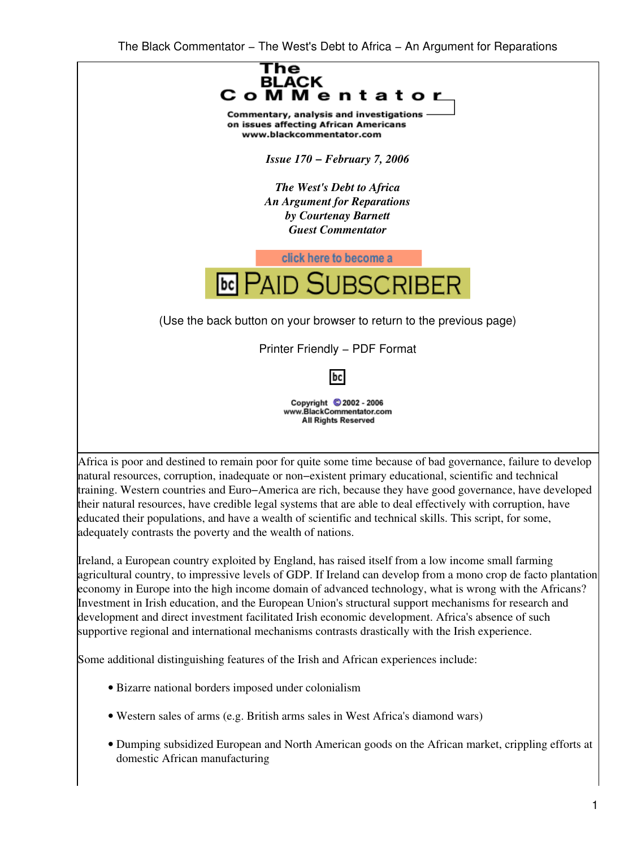

training. Western countries and Euro−America are rich, because they have good governance, have developed their natural resources, have credible legal systems that are able to deal effectively with corruption, have educated their populations, and have a wealth of scientific and technical skills. This script, for some, adequately contrasts the poverty and the wealth of nations.

Ireland, a European country exploited by England, has raised itself from a low income small farming agricultural country, to impressive levels of GDP. If Ireland can develop from a mono crop de facto plantation economy in Europe into the high income domain of advanced technology, what is wrong with the Africans? Investment in Irish education, and the European Union's structural support mechanisms for research and development and direct investment facilitated Irish economic development. Africa's absence of such supportive regional and international mechanisms contrasts drastically with the Irish experience.

Some additional distinguishing features of the Irish and African experiences include:

- Bizarre national borders imposed under colonialism
- Western sales of arms (e.g. British arms sales in West Africa's diamond wars)
- Dumping subsidized European and North American goods on the African market, crippling efforts at domestic African manufacturing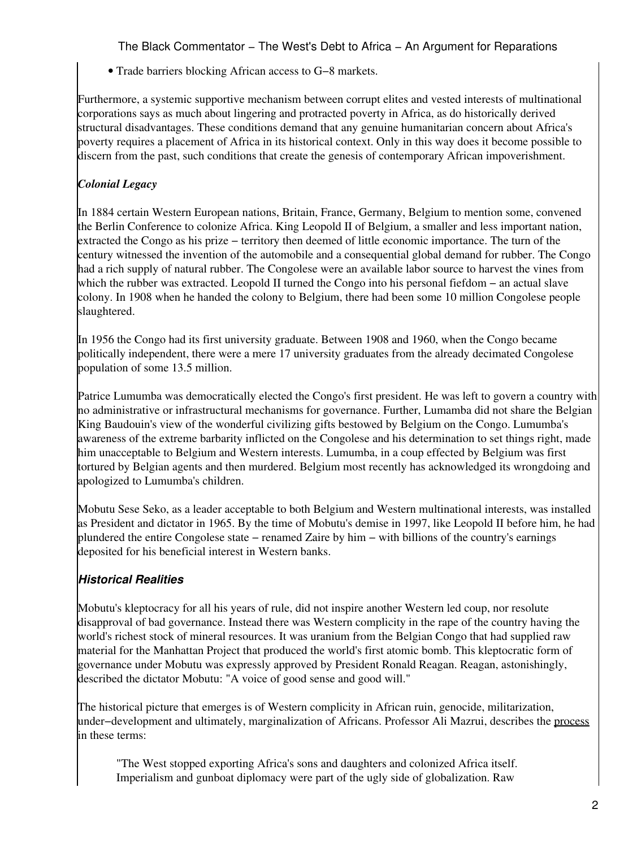• Trade barriers blocking African access to G−8 markets.

Furthermore, a systemic supportive mechanism between corrupt elites and vested interests of multinational corporations says as much about lingering and protracted poverty in Africa, as do historically derived structural disadvantages. These conditions demand that any genuine humanitarian concern about Africa's poverty requires a placement of Africa in its historical context. Only in this way does it become possible to discern from the past, such conditions that create the genesis of contemporary African impoverishment.

## *Colonial Legacy*

In 1884 certain Western European nations, Britain, France, Germany, Belgium to mention some, convened the Berlin Conference to colonize Africa. King Leopold II of Belgium, a smaller and less important nation, extracted the Congo as his prize − territory then deemed of little economic importance. The turn of the century witnessed the invention of the automobile and a consequential global demand for rubber. The Congo had a rich supply of natural rubber. The Congolese were an available labor source to harvest the vines from which the rubber was extracted. Leopold II turned the Congo into his personal fiefdom − an actual slave colony. In 1908 when he handed the colony to Belgium, there had been some 10 million Congolese people slaughtered.

In 1956 the Congo had its first university graduate. Between 1908 and 1960, when the Congo became politically independent, there were a mere 17 university graduates from the already decimated Congolese population of some 13.5 million.

Patrice Lumumba was democratically elected the Congo's first president. He was left to govern a country with no administrative or infrastructural mechanisms for governance. Further, Lumamba did not share the Belgian King Baudouin's view of the wonderful civilizing gifts bestowed by Belgium on the Congo. Lumumba's awareness of the extreme barbarity inflicted on the Congolese and his determination to set things right, made him unacceptable to Belgium and Western interests. Lumumba, in a coup effected by Belgium was first tortured by Belgian agents and then murdered. Belgium most recently has acknowledged its wrongdoing and apologized to Lumumba's children.

Mobutu Sese Seko, as a leader acceptable to both Belgium and Western multinational interests, was installed as President and dictator in 1965. By the time of Mobutu's demise in 1997, like Leopold II before him, he had plundered the entire Congolese state − renamed Zaire by him − with billions of the country's earnings deposited for his beneficial interest in Western banks.

# *Historical Realities*

Mobutu's kleptocracy for all his years of rule, did not inspire another Western led coup, nor resolute disapproval of bad governance. Instead there was Western complicity in the rape of the country having the world's richest stock of mineral resources. It was uranium from the Belgian Congo that had supplied raw material for the Manhattan Project that produced the world's first atomic bomb. This kleptocratic form of governance under Mobutu was expressly approved by President Ronald Reagan. Reagan, astonishingly, described the dictator Mobutu: "A voice of good sense and good will."

The historical picture that emerges is of Western complicity in African ruin, genocide, militarization, under−development and ultimately, marginalization of Africans. Professor Ali Mazrui, describes the [process](http://web.africa.ufl.edu/asq/v2/v2i4a2.htm) in these terms:

"The West stopped exporting Africa's sons and daughters and colonized Africa itself. Imperialism and gunboat diplomacy were part of the ugly side of globalization. Raw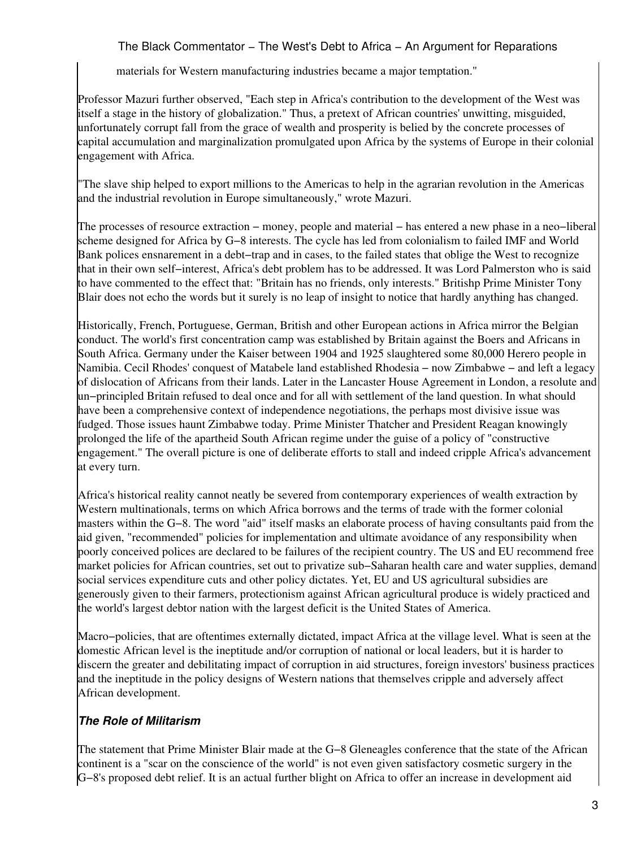materials for Western manufacturing industries became a major temptation."

Professor Mazuri further observed, "Each step in Africa's contribution to the development of the West was itself a stage in the history of globalization." Thus, a pretext of African countries' unwitting, misguided, unfortunately corrupt fall from the grace of wealth and prosperity is belied by the concrete processes of capital accumulation and marginalization promulgated upon Africa by the systems of Europe in their colonial engagement with Africa.

"The slave ship helped to export millions to the Americas to help in the agrarian revolution in the Americas and the industrial revolution in Europe simultaneously," wrote Mazuri.

The processes of resource extraction − money, people and material − has entered a new phase in a neo−liberal scheme designed for Africa by G−8 interests. The cycle has led from colonialism to failed IMF and World Bank polices ensnarement in a debt−trap and in cases, to the failed states that oblige the West to recognize that in their own self−interest, Africa's debt problem has to be addressed. It was Lord Palmerston who is said to have commented to the effect that: "Britain has no friends, only interests." Britishp Prime Minister Tony Blair does not echo the words but it surely is no leap of insight to notice that hardly anything has changed.

Historically, French, Portuguese, German, British and other European actions in Africa mirror the Belgian conduct. The world's first concentration camp was established by Britain against the Boers and Africans in South Africa. Germany under the Kaiser between 1904 and 1925 slaughtered some 80,000 Herero people in Namibia. Cecil Rhodes' conquest of Matabele land established Rhodesia − now Zimbabwe − and left a legacy of dislocation of Africans from their lands. Later in the Lancaster House Agreement in London, a resolute and un−principled Britain refused to deal once and for all with settlement of the land question. In what should have been a comprehensive context of independence negotiations, the perhaps most divisive issue was fudged. Those issues haunt Zimbabwe today. Prime Minister Thatcher and President Reagan knowingly prolonged the life of the apartheid South African regime under the guise of a policy of "constructive engagement." The overall picture is one of deliberate efforts to stall and indeed cripple Africa's advancement at every turn.

Africa's historical reality cannot neatly be severed from contemporary experiences of wealth extraction by Western multinationals, terms on which Africa borrows and the terms of trade with the former colonial masters within the G−8. The word "aid" itself masks an elaborate process of having consultants paid from the aid given, "recommended" policies for implementation and ultimate avoidance of any responsibility when poorly conceived polices are declared to be failures of the recipient country. The US and EU recommend free market policies for African countries, set out to privatize sub−Saharan health care and water supplies, demand social services expenditure cuts and other policy dictates. Yet, EU and US agricultural subsidies are generously given to their farmers, protectionism against African agricultural produce is widely practiced and the world's largest debtor nation with the largest deficit is the United States of America.

Macro−policies, that are oftentimes externally dictated, impact Africa at the village level. What is seen at the domestic African level is the ineptitude and/or corruption of national or local leaders, but it is harder to discern the greater and debilitating impact of corruption in aid structures, foreign investors' business practices and the ineptitude in the policy designs of Western nations that themselves cripple and adversely affect African development.

# *The Role of Militarism*

The statement that Prime Minister Blair made at the G−8 Gleneagles conference that the state of the African continent is a "scar on the conscience of the world" is not even given satisfactory cosmetic surgery in the G−8's proposed debt relief. It is an actual further blight on Africa to offer an increase in development aid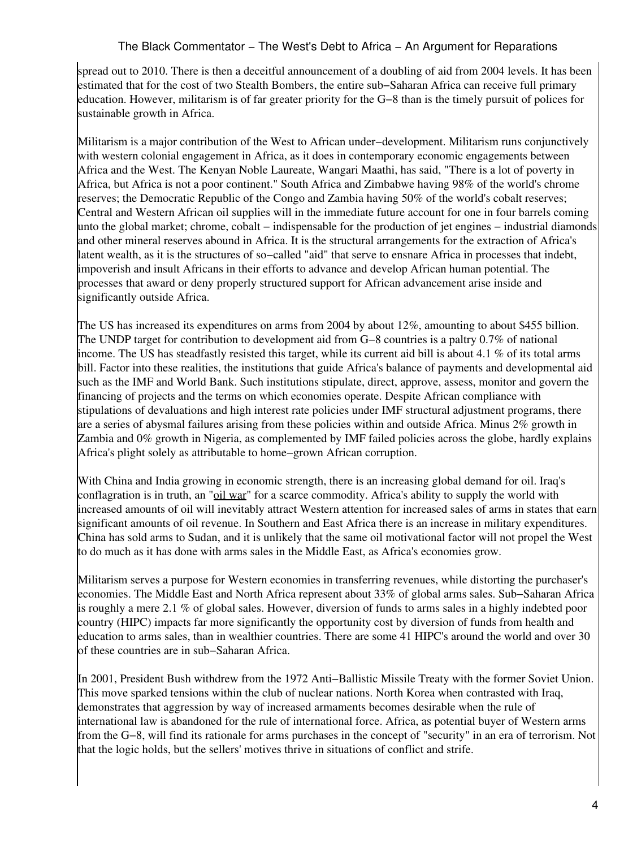spread out to 2010. There is then a deceitful announcement of a doubling of aid from 2004 levels. It has been estimated that for the cost of two Stealth Bombers, the entire sub−Saharan Africa can receive full primary education. However, militarism is of far greater priority for the G−8 than is the timely pursuit of polices for sustainable growth in Africa.

Militarism is a major contribution of the West to African under−development. Militarism runs conjunctively with western colonial engagement in Africa, as it does in contemporary economic engagements between Africa and the West. The Kenyan Noble Laureate, Wangari Maathi, has said, "There is a lot of poverty in Africa, but Africa is not a poor continent." South Africa and Zimbabwe having 98% of the world's chrome reserves; the Democratic Republic of the Congo and Zambia having 50% of the world's cobalt reserves; Central and Western African oil supplies will in the immediate future account for one in four barrels coming unto the global market; chrome, cobalt – indispensable for the production of jet engines – industrial diamonds and other mineral reserves abound in Africa. It is the structural arrangements for the extraction of Africa's latent wealth, as it is the structures of so−called "aid" that serve to ensnare Africa in processes that indebt, impoverish and insult Africans in their efforts to advance and develop African human potential. The processes that award or deny properly structured support for African advancement arise inside and significantly outside Africa.

The US has increased its expenditures on arms from 2004 by about 12%, amounting to about \$455 billion. The UNDP target for contribution to development aid from G−8 countries is a paltry 0.7% of national income. The US has steadfastly resisted this target, while its current aid bill is about 4.1 % of its total arms bill. Factor into these realities, the institutions that guide Africa's balance of payments and developmental aid such as the IMF and World Bank. Such institutions stipulate, direct, approve, assess, monitor and govern the financing of projects and the terms on which economies operate. Despite African compliance with stipulations of devaluations and high interest rate policies under IMF structural adjustment programs, there are a series of abysmal failures arising from these policies within and outside Africa. Minus 2% growth in Zambia and 0% growth in Nigeria, as complemented by IMF failed policies across the globe, hardly explains Africa's plight solely as attributable to home−grown African corruption.

With China and India growing in economic strength, there is an increasing global demand for oil. Iraq's conflagration is in truth, an ["oil war](http://www.ratical.org/ratville/CAH/RRiraqWar.html)" for a scarce commodity. Africa's ability to supply the world with increased amounts of oil will inevitably attract Western attention for increased sales of arms in states that earn significant amounts of oil revenue. In Southern and East Africa there is an increase in military expenditures. China has sold arms to Sudan, and it is unlikely that the same oil motivational factor will not propel the West to do much as it has done with arms sales in the Middle East, as Africa's economies grow.

Militarism serves a purpose for Western economies in transferring revenues, while distorting the purchaser's economies. The Middle East and North Africa represent about 33% of global arms sales. Sub−Saharan Africa is roughly a mere 2.1 % of global sales. However, diversion of funds to arms sales in a highly indebted poor country (HIPC) impacts far more significantly the opportunity cost by diversion of funds from health and education to arms sales, than in wealthier countries. There are some 41 HIPC's around the world and over 30 of these countries are in sub−Saharan Africa.

In 2001, President Bush withdrew from the 1972 Anti−Ballistic Missile Treaty with the former Soviet Union. This move sparked tensions within the club of nuclear nations. North Korea when contrasted with Iraq, demonstrates that aggression by way of increased armaments becomes desirable when the rule of international law is abandoned for the rule of international force. Africa, as potential buyer of Western arms from the G−8, will find its rationale for arms purchases in the concept of "security" in an era of terrorism. Not that the logic holds, but the sellers' motives thrive in situations of conflict and strife.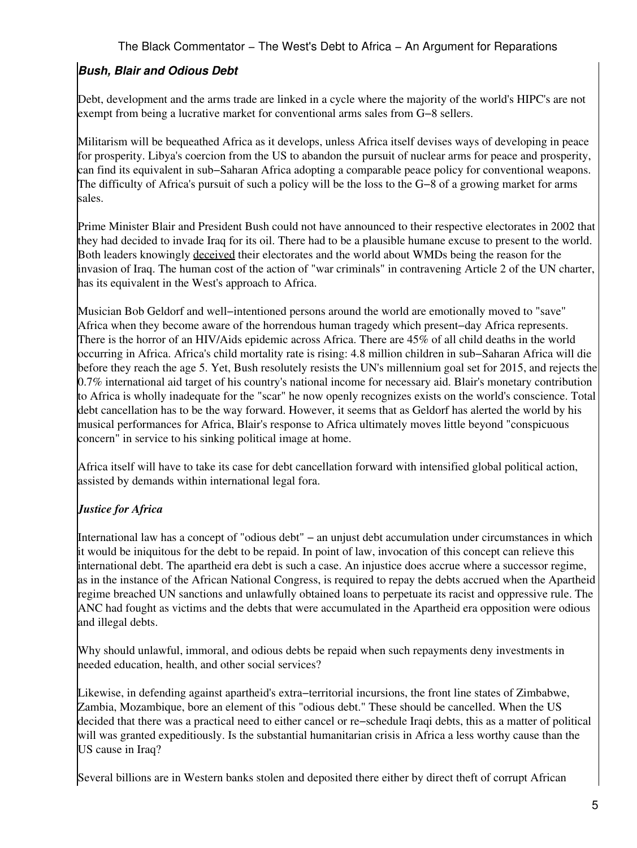# *Bush, Blair and Odious Debt*

Debt, development and the arms trade are linked in a cycle where the majority of the world's HIPC's are not exempt from being a lucrative market for conventional arms sales from G−8 sellers.

Militarism will be bequeathed Africa as it develops, unless Africa itself devises ways of developing in peace for prosperity. Libya's coercion from the US to abandon the pursuit of nuclear arms for peace and prosperity, can find its equivalent in sub−Saharan Africa adopting a comparable peace policy for conventional weapons. The difficulty of Africa's pursuit of such a policy will be the loss to the G−8 of a growing market for arms sales.

Prime Minister Blair and President Bush could not have announced to their respective electorates in 2002 that they had decided to invade Iraq for its oil. There had to be a plausible humane excuse to present to the world. Both leaders knowingly [deceived](http://www.downingstreetmemo.com/) their electorates and the world about WMDs being the reason for the invasion of Iraq. The human cost of the action of "war criminals" in contravening Article 2 of the UN charter, has its equivalent in the West's approach to Africa.

Musician Bob Geldorf and well−intentioned persons around the world are emotionally moved to "save" Africa when they become aware of the horrendous human tragedy which present−day Africa represents. There is the horror of an HIV/Aids epidemic across Africa. There are 45% of all child deaths in the world occurring in Africa. Africa's child mortality rate is rising: 4.8 million children in sub−Saharan Africa will die before they reach the age 5. Yet, Bush resolutely resists the UN's millennium goal set for 2015, and rejects the 0.7% international aid target of his country's national income for necessary aid. Blair's monetary contribution to Africa is wholly inadequate for the "scar" he now openly recognizes exists on the world's conscience. Total debt cancellation has to be the way forward. However, it seems that as Geldorf has alerted the world by his musical performances for Africa, Blair's response to Africa ultimately moves little beyond "conspicuous concern" in service to his sinking political image at home.

Africa itself will have to take its case for debt cancellation forward with intensified global political action, assisted by demands within international legal fora.

### *Justice for Africa*

International law has a concept of "odious debt" − an unjust debt accumulation under circumstances in which it would be iniquitous for the debt to be repaid. In point of law, invocation of this concept can relieve this international debt. The apartheid era debt is such a case. An injustice does accrue where a successor regime, as in the instance of the African National Congress, is required to repay the debts accrued when the Apartheid regime breached UN sanctions and unlawfully obtained loans to perpetuate its racist and oppressive rule. The ANC had fought as victims and the debts that were accumulated in the Apartheid era opposition were odious and illegal debts.

Why should unlawful, immoral, and odious debts be repaid when such repayments deny investments in needed education, health, and other social services?

Likewise, in defending against apartheid's extra−territorial incursions, the front line states of Zimbabwe, Zambia, Mozambique, bore an element of this "odious debt." These should be cancelled. When the US decided that there was a practical need to either cancel or re−schedule Iraqi debts, this as a matter of political will was granted expeditiously. Is the substantial humanitarian crisis in Africa a less worthy cause than the US cause in Iraq?

Several billions are in Western banks stolen and deposited there either by direct theft of corrupt African